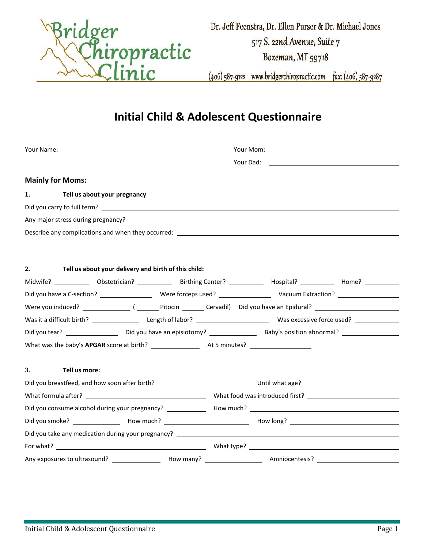

(406) 587-9122 www.bridgerchiropractic.com fax: (406) 587-9287

## **Initial Child & Adolescent Questionnaire**

| <b>Mainly for Moms:</b>                                    |                                                                                                                                                                                                                                |
|------------------------------------------------------------|--------------------------------------------------------------------------------------------------------------------------------------------------------------------------------------------------------------------------------|
| 1. Tell us about your pregnancy                            |                                                                                                                                                                                                                                |
|                                                            |                                                                                                                                                                                                                                |
|                                                            |                                                                                                                                                                                                                                |
|                                                            | Describe any complications and when they occurred: Description of the control of the control of the control of the control of the control of the control of the control of the control of the control of the control of the co |
|                                                            |                                                                                                                                                                                                                                |
|                                                            |                                                                                                                                                                                                                                |
| 2.<br>Tell us about your delivery and birth of this child: |                                                                                                                                                                                                                                |
|                                                            | Midwife? _____________ Obstetrician? ______________ Birthing Center? ____________ Hospital? ____________ Home? __________                                                                                                      |
|                                                            |                                                                                                                                                                                                                                |
|                                                            |                                                                                                                                                                                                                                |
|                                                            |                                                                                                                                                                                                                                |
|                                                            |                                                                                                                                                                                                                                |
|                                                            |                                                                                                                                                                                                                                |
|                                                            |                                                                                                                                                                                                                                |
| 3.<br>Tell us more:                                        |                                                                                                                                                                                                                                |
|                                                            |                                                                                                                                                                                                                                |
|                                                            |                                                                                                                                                                                                                                |
|                                                            |                                                                                                                                                                                                                                |
|                                                            |                                                                                                                                                                                                                                |
|                                                            |                                                                                                                                                                                                                                |
|                                                            |                                                                                                                                                                                                                                |
|                                                            |                                                                                                                                                                                                                                |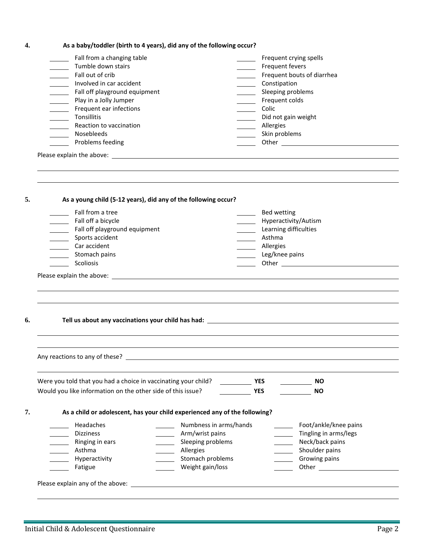|  | As a baby/toddler (birth to 4 years), did any of the following occur? |
|--|-----------------------------------------------------------------------|
|--|-----------------------------------------------------------------------|

| Fall from a changing table    | Frequent crying spells     |
|-------------------------------|----------------------------|
| Tumble down stairs            | Frequent fevers            |
| Fall out of crib              | Frequent bouts of diarrhea |
| Involved in car accident      | Constipation               |
| Fall off playground equipment | Sleeping problems          |
| Play in a Jolly Jumper        | Frequent colds             |
| Frequent ear infections       | Colic                      |
| Tonsillitis                   | Did not gain weight        |
| Reaction to vaccination       | Allergies                  |
| <b>Nosebleeds</b>             | Skin problems              |
| Problems feeding              | Other                      |
| Please explain the above:     |                            |
|                               |                            |

|    | As a young child (5-12 years), did any of the following occur?       |                                                                            |                                                                                                                                                                                                                                      |
|----|----------------------------------------------------------------------|----------------------------------------------------------------------------|--------------------------------------------------------------------------------------------------------------------------------------------------------------------------------------------------------------------------------------|
|    | ______ Fall from a tree<br>Fall off a bicycle                        | $\mathcal{L}_{\text{max}}$<br>$\mathcal{L}(\mathcal{L})$                   | Bed wetting<br>Hyperactivity/Autism                                                                                                                                                                                                  |
|    | Fall off playground equipment                                        |                                                                            | Learning difficulties                                                                                                                                                                                                                |
|    | Sports accident<br><b>Contract Contract Contract</b><br>Car accident | _______ Asthma                                                             |                                                                                                                                                                                                                                      |
|    | <u>and the state</u><br>Stomach pains                                |                                                                            | Allergies<br>Leg/knee pains                                                                                                                                                                                                          |
|    | Scoliosis                                                            |                                                                            | Other <u>and the series of the series of the series of the series of the series of the series of the series of the series of the series of the series of the series of the series of the series of the series of the series of t</u> |
|    |                                                                      |                                                                            |                                                                                                                                                                                                                                      |
|    |                                                                      |                                                                            |                                                                                                                                                                                                                                      |
|    |                                                                      |                                                                            |                                                                                                                                                                                                                                      |
|    |                                                                      |                                                                            |                                                                                                                                                                                                                                      |
| 6. |                                                                      |                                                                            |                                                                                                                                                                                                                                      |
|    |                                                                      |                                                                            |                                                                                                                                                                                                                                      |
|    |                                                                      |                                                                            |                                                                                                                                                                                                                                      |
|    |                                                                      |                                                                            |                                                                                                                                                                                                                                      |
|    |                                                                      |                                                                            |                                                                                                                                                                                                                                      |
|    |                                                                      |                                                                            |                                                                                                                                                                                                                                      |
|    |                                                                      |                                                                            |                                                                                                                                                                                                                                      |
|    | Were you told that you had a choice in vaccinating your child?       | YES                                                                        | $\frac{1}{\sqrt{1-\frac{1}{2}}}\sqrt{1-\frac{1}{2}}$                                                                                                                                                                                 |
|    | Would you like information on the other side of this issue?          | <b>Example 19 YES</b>                                                      | <b>NO</b>                                                                                                                                                                                                                            |
|    |                                                                      |                                                                            |                                                                                                                                                                                                                                      |
|    |                                                                      | As a child or adolescent, has your child experienced any of the following? |                                                                                                                                                                                                                                      |
|    |                                                                      |                                                                            |                                                                                                                                                                                                                                      |
|    | Headaches<br><b>Dizziness</b>                                        | Numbness in arms/hands                                                     | Foot/ankle/knee pains<br>$\mathcal{L}_{\text{max}}$<br>Tingling in arms/legs                                                                                                                                                         |
|    | Ringing in ears                                                      | Arm/wrist pains                                                            | $\overline{\phantom{a}}$<br>Neck/back pains<br>$\overline{\phantom{a}}$                                                                                                                                                              |
|    | Asthma                                                               | Sleeping problems<br>Allergies                                             | Shoulder pains<br>$\overline{\phantom{a}}$                                                                                                                                                                                           |
| 7. | Hyperactivity                                                        | Stomach problems                                                           | Growing pains<br>$\mathcal{L} = \{ \mathcal{L} \}$                                                                                                                                                                                   |

÷,  $\overline{a}$ 

ż,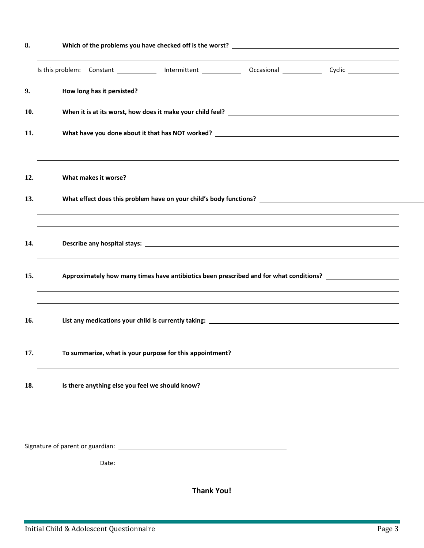| 8.  |                                                                                                                                                                                                                                |
|-----|--------------------------------------------------------------------------------------------------------------------------------------------------------------------------------------------------------------------------------|
|     | Is this problem: Constant ____________ Intermittent _______________ Occasional _______________ Cyclic ________________                                                                                                         |
| 9.  |                                                                                                                                                                                                                                |
| 10. |                                                                                                                                                                                                                                |
| 11. |                                                                                                                                                                                                                                |
| 12. |                                                                                                                                                                                                                                |
| 13. |                                                                                                                                                                                                                                |
| 14. |                                                                                                                                                                                                                                |
| 15. | Approximately how many times have antibiotics been prescribed and for what conditions? ______________________                                                                                                                  |
| 16. |                                                                                                                                                                                                                                |
| 17. | To summarize, what is your purpose for this appointment?                                                                                                                                                                       |
| 18. | Is there anything else you feel we should know? The contract of the contract of the contract of the contract of the contract of the contract of the contract of the contract of the contract of the contract of the contract o |
|     |                                                                                                                                                                                                                                |
|     |                                                                                                                                                                                                                                |
|     | <b>Thank You!</b>                                                                                                                                                                                                              |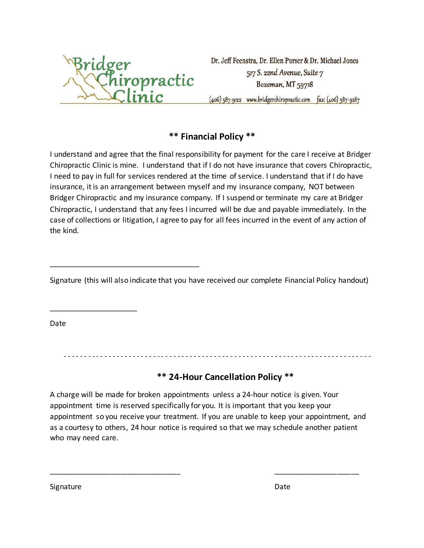

\_\_\_\_\_\_\_\_\_\_\_\_\_\_\_\_\_\_\_\_\_\_\_\_\_\_\_\_\_\_\_\_\_\_\_\_

Dr. Jeff Feenstra, Dr. Ellen Purser & Dr. Michael Jones 517 S. 22nd Avenue, Suite 7 Bozeman, MT 59718 (406) 587-9122 www.bridgerchiropractic.com fax: (406) 587-9287

### **\*\* Financial Policy \*\***

I understand and agree that the final responsibility for payment for the care I receive at Bridger Chiropractic Clinic is mine. I understand that if I do not have insurance that covers Chiropractic, I need to pay in full for services rendered at the time of service. I understand that if I do have insurance, it is an arrangement between myself and my insurance company, NOT between Bridger Chiropractic and my insurance company. If I suspend or terminate my care at Bridger Chiropractic, I understand that any fees I incurred will be due and payable immediately. In the case of collections or litigation, I agree to pay for all fees incurred in the event of any action of the kind.

Signature (this will also indicate that you have received our complete Financial Policy handout)

Date

\_\_\_\_\_\_\_\_\_\_\_\_\_\_\_\_\_\_\_\_\_

- - - - - - - - - - - - - - - - - - - - - - - - - - - - - - - - - - - - - - - - - - - - - - - - - - - - - - - - - - - - - - - - - - - - - - - - - - - -

#### **\*\* 24-Hour Cancellation Policy \*\***

A charge will be made for broken appointments unless a 24-hour notice is given. Your appointment time is reserved specifically for you. It is important that you keep your appointment so you receive your treatment. If you are unable to keep your appointment, and as a courtesy to others, 24 hour notice is required so that we may schedule another patient who may need care.

\_\_\_\_\_\_\_\_\_\_\_\_\_\_\_\_\_\_\_\_\_\_\_\_\_\_\_\_\_\_\_\_\_\_\_ \_\_\_\_\_\_\_\_\_\_\_\_\_\_\_\_\_\_\_\_\_\_\_

Signature Date Date Communications and the Date Date Date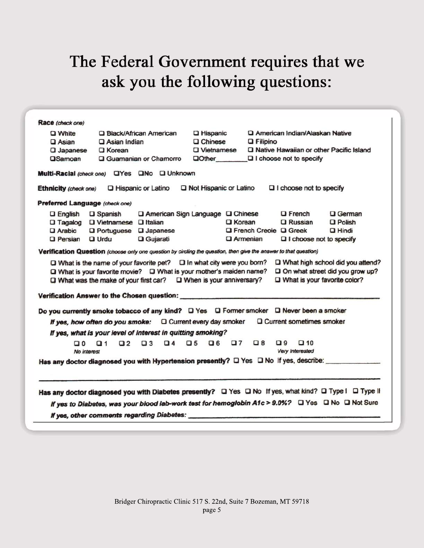# The Federal Government requires that we ask you the following questions:

| Race (check one)               |                                                                                    |                                                             |                                                                                                                                                  |                                                                                                                                                                                                             |                                                                                                         |
|--------------------------------|------------------------------------------------------------------------------------|-------------------------------------------------------------|--------------------------------------------------------------------------------------------------------------------------------------------------|-------------------------------------------------------------------------------------------------------------------------------------------------------------------------------------------------------------|---------------------------------------------------------------------------------------------------------|
| Q White                        | <b>Q Black/African American</b>                                                    |                                                             | <b>Q</b> Hispanic                                                                                                                                | <b>Q American Indian/Alaskan Native</b>                                                                                                                                                                     |                                                                                                         |
| $\square$ Asian                | $\Box$ Asian Indian                                                                |                                                             | $\Box$ Chinese                                                                                                                                   | <b>Q</b> Filipino                                                                                                                                                                                           |                                                                                                         |
| Q Japanese                     | <b>Q</b> Korean                                                                    |                                                             | <b>Q</b> Vietnamese                                                                                                                              | <b>Q Native Hawaiian or other Pacific Island</b>                                                                                                                                                            |                                                                                                         |
| <b>OSamoan</b>                 |                                                                                    | <b>Q</b> Guamanian or Chamorro                              | $\Box$ Other                                                                                                                                     | $\Box$ I choose not to specify                                                                                                                                                                              |                                                                                                         |
|                                |                                                                                    | Multi-Racial (check one) UYes UNo U Unknown                 |                                                                                                                                                  |                                                                                                                                                                                                             |                                                                                                         |
| Ethnicity (check one)          |                                                                                    | <b>Q Hispanic or Latino</b>                                 | Not Hispanic or Latino                                                                                                                           | $\Box$ I choose not to specify                                                                                                                                                                              |                                                                                                         |
| Preferred Language (check one) |                                                                                    |                                                             |                                                                                                                                                  |                                                                                                                                                                                                             |                                                                                                         |
| $\square$ English              | <b>Q</b> Spanish                                                                   |                                                             | Q American Sign Language Q Chinese                                                                                                               | $\Box$ French                                                                                                                                                                                               | <b>Q</b> German                                                                                         |
|                                | □ Tagalog □ Vietnamese □ Italian                                                   |                                                             | <b>Q</b> Korean                                                                                                                                  | <b>Q</b> Russian                                                                                                                                                                                            | $\square$ Polish                                                                                        |
| $\square$ Arabic               | Q Portuguese Q Japanese                                                            |                                                             |                                                                                                                                                  | <b>Q French Creole Q Greek</b>                                                                                                                                                                              | $\Box$ Hindi                                                                                            |
| <b>D</b> Persian               | $\Box$ Urdu                                                                        | Q Gujarati                                                  |                                                                                                                                                  | <b>Q</b> Armenian<br>$\Box$ I choose not to specify                                                                                                                                                         |                                                                                                         |
|                                | Q What is the name of your favorite pet?<br>Q What was the make of your first car? |                                                             | $\Box$ In what city were you born?<br>Q What is your favorite movie? Q What is your mother's maiden name?<br>$\square$ When is your anniversary? | Do you currently smoke tobacco of any kind? $\Box$ Yes $\Box$ Former smoker $\Box$ Never been a smoker                                                                                                      | O What high school did you attend?<br>On what street did you grow up?<br>U What is your favorite color? |
|                                |                                                                                    |                                                             | If yes, how often do you smoke: Q Current every day smoker                                                                                       | Q Current sometimes smoker                                                                                                                                                                                  |                                                                                                         |
|                                |                                                                                    | If yes, what is your level of interest in quitting smoking? |                                                                                                                                                  |                                                                                                                                                                                                             |                                                                                                         |
| $\Box$ 0<br>No interest        | $\Box$ 2<br>Q 1                                                                    | Q4 Q5<br>$\Box$ 3                                           | $\Box$ 6                                                                                                                                         | $\square$ 7 $\square$ 8<br>$\Box$ 9<br>$\square$ 10<br>Very Interested                                                                                                                                      |                                                                                                         |
|                                |                                                                                    |                                                             |                                                                                                                                                  |                                                                                                                                                                                                             |                                                                                                         |
|                                |                                                                                    |                                                             |                                                                                                                                                  | Has any doctor diagnosed you with Diabetes presently? O Yes O No If yes, what kind? O Type i O Type II<br>If yes to Diabetes, was your blood lab-work test for hemoglobin A1c > 9.0%? □ Yes □ No □ Not Sure |                                                                                                         |